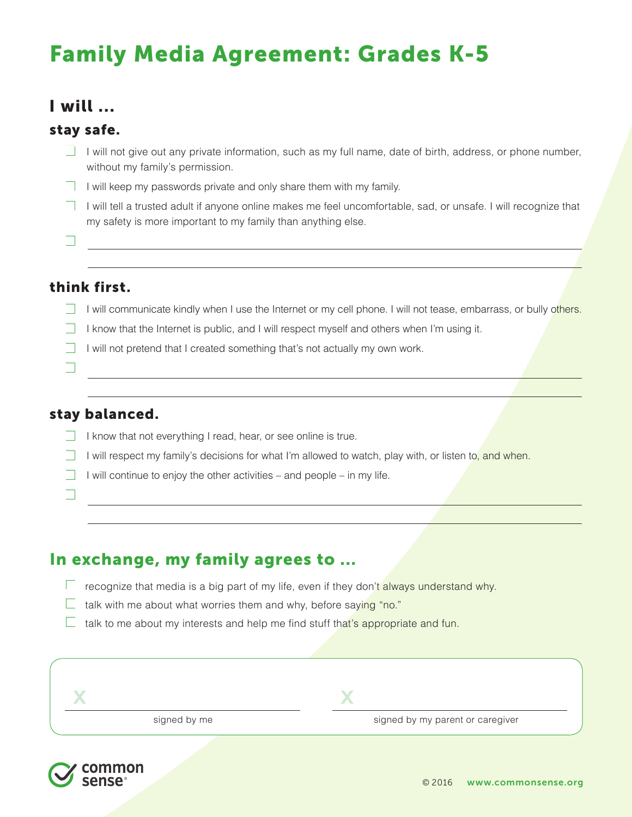# Family Media Agreement: Grades K-5

# I will ...

### stay safe.

- $\Box$  I will not give out any private information, such as my full name, date of birth, address, or phone number, without my family's permission.
- $\Box$  I will keep my passwords private and only share them with my family.
- I will tell a trusted adult if anyone online makes me feel uncomfortable, sad, or unsafe. I will recognize that my safety is more important to my family than anything else.

 $\Box$ 

 $\Box$ 

o

## think first.

- I will communicate kindly when I use the Internet or my cell phone. I will not tease, embarrass, or bully others.
- I know that the Internet is public, and I will respect myself and others when I'm using it.

<u> 1980 - Johann Barn, fransk politik (f. 1980)</u>

 $\Box$  I will not pretend that I created something that's not actually my own work.

### stay balanced.

- $\Box$  I know that not everything I read, hear, or see online is true.
- I will respect my family's decisions for what I'm allowed to watch, play with, or listen to, and when.
- I will continue to enjoy the other activities and people in my life.
- In exchange, my family agrees to ...
	- $\Box$  recognize that media is a big part of my life, even if they don't always understand why.
	- $\Box$  talk with me about what worries them and why, before saying "no."
	- $\Box$  talk to me about my interests and help me find stuff that's appropriate and fun.

| signed by me | signed by my parent or caregiver |
|--------------|----------------------------------|
|              |                                  |

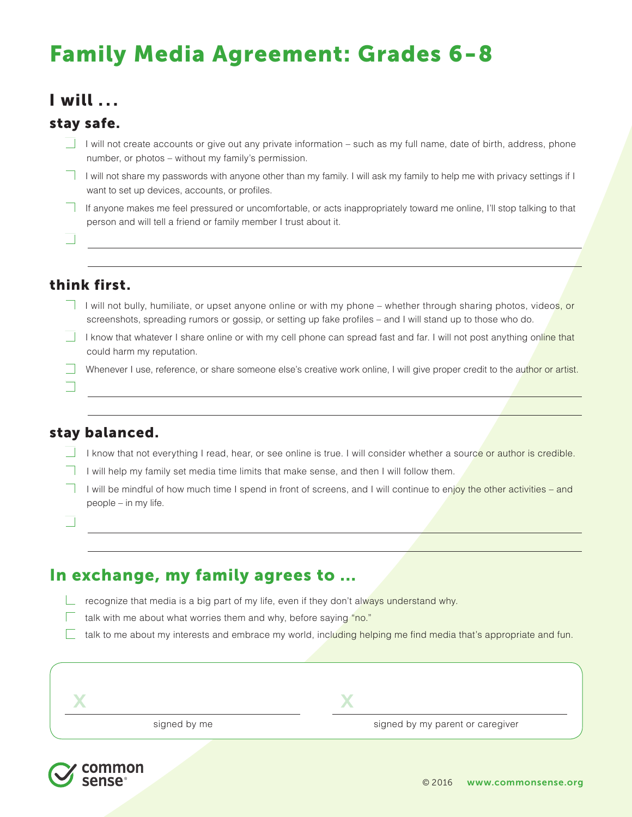# Family Media Agreement: Grades 6-8

# I will . . .

## stay safe.

- I will not create accounts or give out any private information such as my full name, date of birth, address, phone number, or photos – without my family's permission.
- $\Box$  I will not share my passwords with anyone other than my family. I will ask my family to help me with privacy settings if I want to set up devices, accounts, or profiles.
- If anyone makes me feel pressured or uncomfortable, or acts inappropriately toward me online, I'll stop talking to that person and will tell a friend or family member I trust about it.

 $\Box$ 

## think first.

- I will not bully, humiliate, or upset anyone online or with my phone whether through sharing photos, videos, or screenshots, spreading rumors or gossip, or setting up fake profiles – and I will stand up to those who do.
- I know that whatever I share online or with my cell phone can spread fast and far. I will not post anything online that could harm my reputation.
- Whenever I use, reference, or share someone else's creative work online, I will give proper credit to the author or artist.

#### $\Box$

### stay balanced.

- I know that not everything I read, hear, or see online is true. I will consider whether a source or author is credible.
- I will help my family set media time limits that make sense, and then I will follow them.
- I will be mindful of how much time I spend in front of screens, and I will continue to enjoy the other activities and people – in my life.

 $\Box$ 

# In exchange, my family agrees to ...

- $\Box$  recognize that media is a big part of my life, even if they don't always understand why.
	- talk with me about what worries them and why, before saying "no."
	- talk to me about my interests and embrace my world, including helping me find media that's appropriate and fun.

signed by me signed by my parent or caregiver x x